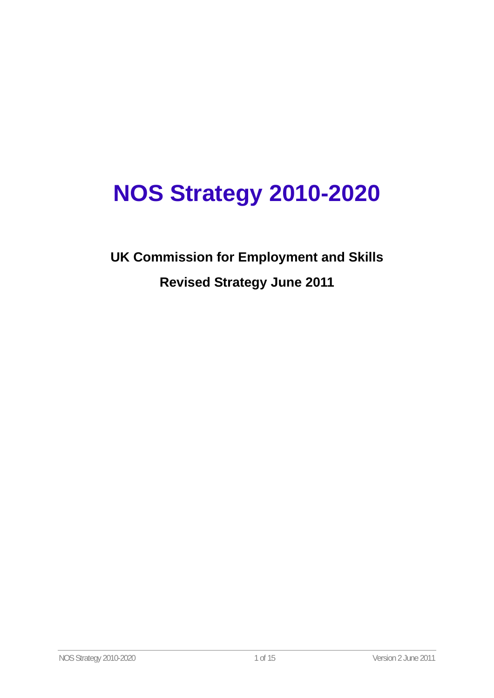# **NOS Strategy 2010-2020**

**UK Commission for Employment and Skills Revised Strategy June 2011**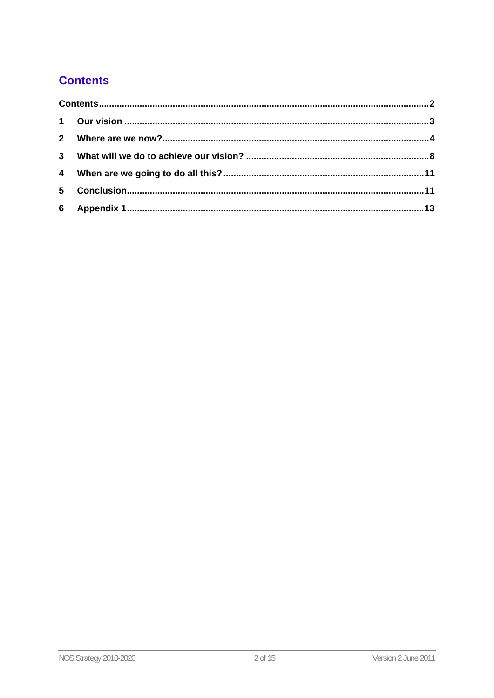# **Contents**

| $\mathbf 1$             |  |  |
|-------------------------|--|--|
| $\mathbf{2}$            |  |  |
| $\mathbf{3}$            |  |  |
| $\overline{\mathbf{4}}$ |  |  |
| 5                       |  |  |
| 6                       |  |  |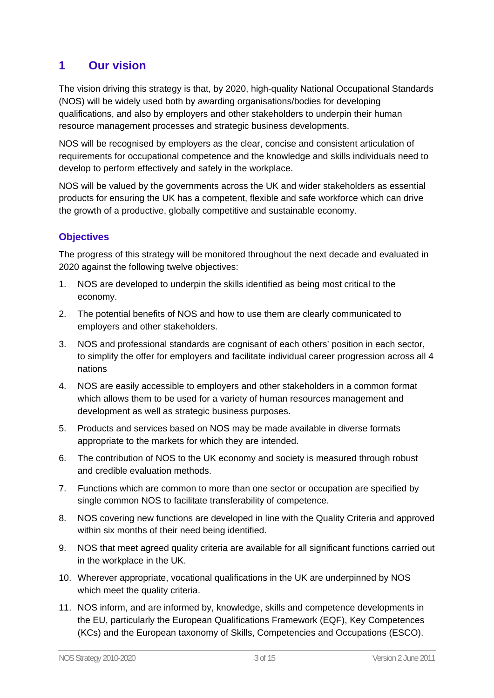# **1 Our vision**

The vision driving this strategy is that, by 2020, high-quality National Occupational Standards (NOS) will be widely used both by awarding organisations/bodies for developing qualifications, and also by employers and other stakeholders to underpin their human resource management processes and strategic business developments.

NOS will be recognised by employers as the clear, concise and consistent articulation of requirements for occupational competence and the knowledge and skills individuals need to develop to perform effectively and safely in the workplace.

NOS will be valued by the governments across the UK and wider stakeholders as essential products for ensuring the UK has a competent, flexible and safe workforce which can drive the growth of a productive, globally competitive and sustainable economy.

## **Objectives**

The progress of this strategy will be monitored throughout the next decade and evaluated in 2020 against the following twelve objectives:

- 1. NOS are developed to underpin the skills identified as being most critical to the economy.
- 2. The potential benefits of NOS and how to use them are clearly communicated to employers and other stakeholders.
- 3. NOS and professional standards are cognisant of each others' position in each sector, to simplify the offer for employers and facilitate individual career progression across all 4 nations
- 4. NOS are easily accessible to employers and other stakeholders in a common format which allows them to be used for a variety of human resources management and development as well as strategic business purposes.
- 5. Products and services based on NOS may be made available in diverse formats appropriate to the markets for which they are intended.
- 6. The contribution of NOS to the UK economy and society is measured through robust and credible evaluation methods.
- 7. Functions which are common to more than one sector or occupation are specified by single common NOS to facilitate transferability of competence.
- 8. NOS covering new functions are developed in line with the Quality Criteria and approved within six months of their need being identified.
- 9. NOS that meet agreed quality criteria are available for all significant functions carried out in the workplace in the UK.
- 10. Wherever appropriate, vocational qualifications in the UK are underpinned by NOS which meet the quality criteria.
- 11. NOS inform, and are informed by, knowledge, skills and competence developments in the EU, particularly the European Qualifications Framework (EQF), Key Competences (KCs) and the European taxonomy of Skills, Competencies and Occupations (ESCO).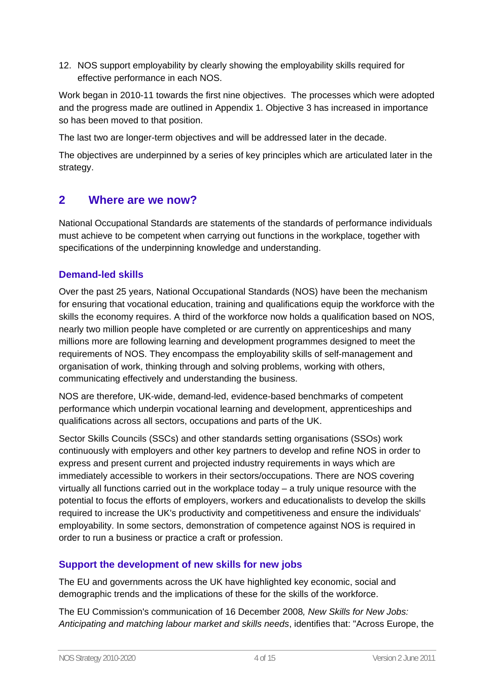12. NOS support employability by clearly showing the employability skills required for effective performance in each NOS.

Work began in 2010-11 towards the first nine objectives. The processes which were adopted and the progress made are outlined in Appendix 1. Objective 3 has increased in importance so has been moved to that position.

The last two are longer-term objectives and will be addressed later in the decade.

The objectives are underpinned by a series of key principles which are articulated later in the strategy.

## **2 Where are we now?**

National Occupational Standards are statements of the standards of performance individuals must achieve to be competent when carrying out functions in the workplace, together with specifications of the underpinning knowledge and understanding.

## **Demand-led skills**

Over the past 25 years, National Occupational Standards (NOS) have been the mechanism for ensuring that vocational education, training and qualifications equip the workforce with the skills the economy requires. A third of the workforce now holds a qualification based on NOS, nearly two million people have completed or are currently on apprenticeships and many millions more are following learning and development programmes designed to meet the requirements of NOS. They encompass the employability skills of self-management and organisation of work, thinking through and solving problems, working with others, communicating effectively and understanding the business.

NOS are therefore, UK-wide, demand-led, evidence-based benchmarks of competent performance which underpin vocational learning and development, apprenticeships and qualifications across all sectors, occupations and parts of the UK.

Sector Skills Councils (SSCs) and other standards setting organisations (SSOs) work continuously with employers and other key partners to develop and refine NOS in order to express and present current and projected industry requirements in ways which are immediately accessible to workers in their sectors/occupations. There are NOS covering virtually all functions carried out in the workplace today – a truly unique resource with the potential to focus the efforts of employers, workers and educationalists to develop the skills required to increase the UK's productivity and competitiveness and ensure the individuals' employability. In some sectors, demonstration of competence against NOS is required in order to run a business or practice a craft or profession.

#### **Support the development of new skills for new jobs**

The EU and governments across the UK have highlighted key economic, social and demographic trends and the implications of these for the skills of the workforce.

The EU Commission's communication of 16 December 2008*, New Skills for New Jobs: Anticipating and matching labour market and skills needs*, identifies that: "Across Europe, the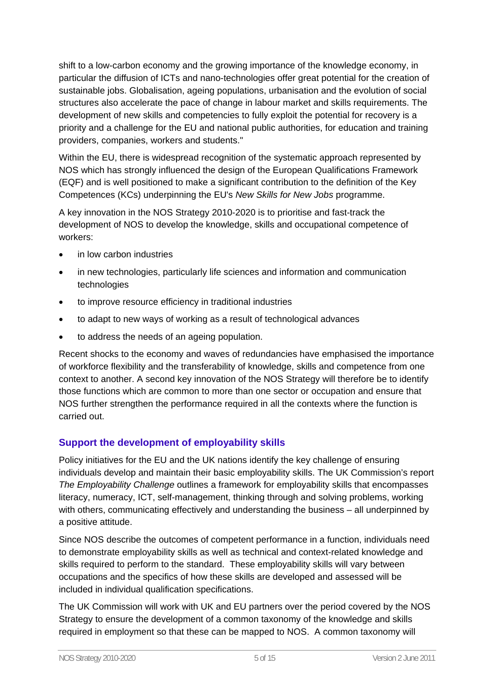shift to a low-carbon economy and the growing importance of the knowledge economy, in particular the diffusion of ICTs and nano-technologies offer great potential for the creation of sustainable jobs. Globalisation, ageing populations, urbanisation and the evolution of social structures also accelerate the pace of change in labour market and skills requirements. The development of new skills and competencies to fully exploit the potential for recovery is a priority and a challenge for the EU and national public authorities, for education and training providers, companies, workers and students."

Within the EU, there is widespread recognition of the systematic approach represented by NOS which has strongly influenced the design of the European Qualifications Framework (EQF) and is well positioned to make a significant contribution to the definition of the Key Competences (KCs) underpinning the EU's *New Skills for New Jobs* programme.

A key innovation in the NOS Strategy 2010-2020 is to prioritise and fast-track the development of NOS to develop the knowledge, skills and occupational competence of workers:

- in low carbon industries
- in new technologies, particularly life sciences and information and communication technologies
- to improve resource efficiency in traditional industries
- to adapt to new ways of working as a result of technological advances
- to address the needs of an ageing population.

Recent shocks to the economy and waves of redundancies have emphasised the importance of workforce flexibility and the transferability of knowledge, skills and competence from one context to another. A second key innovation of the NOS Strategy will therefore be to identify those functions which are common to more than one sector or occupation and ensure that NOS further strengthen the performance required in all the contexts where the function is carried out.

## **Support the development of employability skills**

Policy initiatives for the EU and the UK nations identify the key challenge of ensuring individuals develop and maintain their basic employability skills. The UK Commission's report *The Employability Challenge* outlines a framework for employability skills that encompasses literacy, numeracy, ICT, self-management, thinking through and solving problems, working with others, communicating effectively and understanding the business – all underpinned by a positive attitude.

Since NOS describe the outcomes of competent performance in a function, individuals need to demonstrate employability skills as well as technical and context-related knowledge and skills required to perform to the standard. These employability skills will vary between occupations and the specifics of how these skills are developed and assessed will be included in individual qualification specifications.

The UK Commission will work with UK and EU partners over the period covered by the NOS Strategy to ensure the development of a common taxonomy of the knowledge and skills required in employment so that these can be mapped to NOS. A common taxonomy will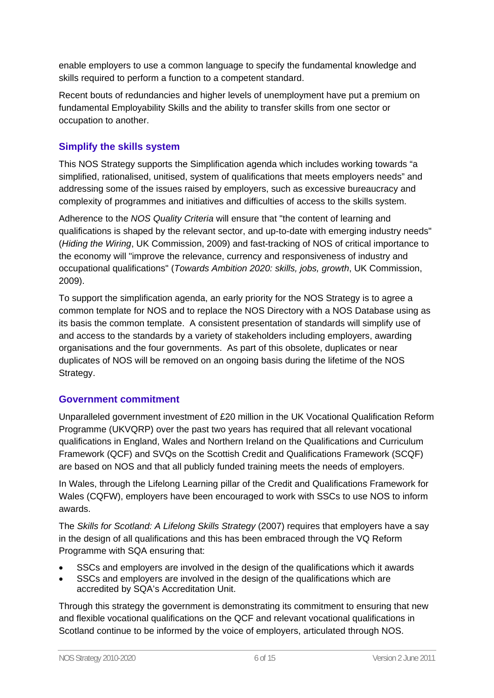enable employers to use a common language to specify the fundamental knowledge and skills required to perform a function to a competent standard.

Recent bouts of redundancies and higher levels of unemployment have put a premium on fundamental Employability Skills and the ability to transfer skills from one sector or occupation to another.

#### **Simplify the skills system**

This NOS Strategy supports the Simplification agenda which includes working towards "a simplified, rationalised, unitised, system of qualifications that meets employers needs" and addressing some of the issues raised by employers, such as excessive bureaucracy and complexity of programmes and initiatives and difficulties of access to the skills system.

Adherence to the *NOS Quality Criteria* will ensure that "the content of learning and qualifications is shaped by the relevant sector, and up-to-date with emerging industry needs" (*Hiding the Wiring*, UK Commission, 2009) and fast-tracking of NOS of critical importance to the economy will "improve the relevance, currency and responsiveness of industry and occupational qualifications" (*Towards Ambition 2020: skills, jobs, growth*, UK Commission, 2009).

To support the simplification agenda, an early priority for the NOS Strategy is to agree a common template for NOS and to replace the NOS Directory with a NOS Database using as its basis the common template. A consistent presentation of standards will simplify use of and access to the standards by a variety of stakeholders including employers, awarding organisations and the four governments. As part of this obsolete, duplicates or near duplicates of NOS will be removed on an ongoing basis during the lifetime of the NOS Strategy.

#### **Government commitment**

Unparalleled government investment of £20 million in the UK Vocational Qualification Reform Programme (UKVQRP) over the past two years has required that all relevant vocational qualifications in England, Wales and Northern Ireland on the Qualifications and Curriculum Framework (QCF) and SVQs on the Scottish Credit and Qualifications Framework (SCQF) are based on NOS and that all publicly funded training meets the needs of employers.

In Wales, through the Lifelong Learning pillar of the Credit and Qualifications Framework for Wales (CQFW), employers have been encouraged to work with SSCs to use NOS to inform awards.

The *Skills for Scotland: A Lifelong Skills Strategy* (2007) requires that employers have a say in the design of all qualifications and this has been embraced through the VQ Reform Programme with SQA ensuring that:

- SSCs and employers are involved in the design of the qualifications which it awards
- SSCs and employers are involved in the design of the qualifications which are accredited by SQA's Accreditation Unit.

Through this strategy the government is demonstrating its commitment to ensuring that new and flexible vocational qualifications on the QCF and relevant vocational qualifications in Scotland continue to be informed by the voice of employers, articulated through NOS.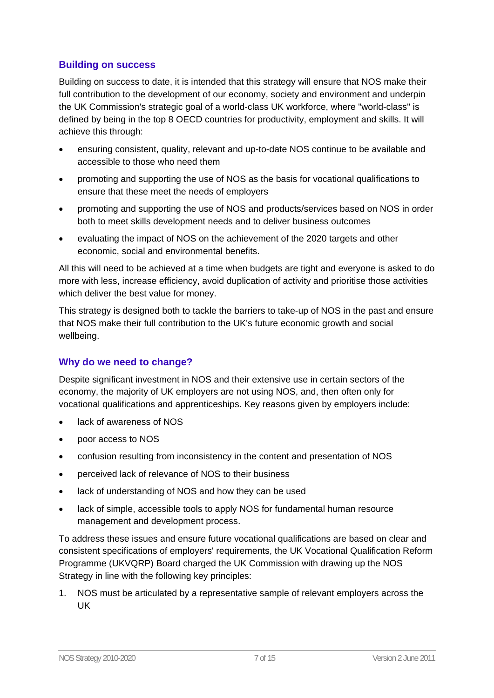#### **Building on success**

Building on success to date, it is intended that this strategy will ensure that NOS make their full contribution to the development of our economy, society and environment and underpin the UK Commission's strategic goal of a world-class UK workforce, where "world-class" is defined by being in the top 8 OECD countries for productivity, employment and skills. It will achieve this through:

- ensuring consistent, quality, relevant and up-to-date NOS continue to be available and accessible to those who need them
- promoting and supporting the use of NOS as the basis for vocational qualifications to ensure that these meet the needs of employers
- promoting and supporting the use of NOS and products/services based on NOS in order both to meet skills development needs and to deliver business outcomes
- evaluating the impact of NOS on the achievement of the 2020 targets and other economic, social and environmental benefits.

All this will need to be achieved at a time when budgets are tight and everyone is asked to do more with less, increase efficiency, avoid duplication of activity and prioritise those activities which deliver the best value for money.

This strategy is designed both to tackle the barriers to take-up of NOS in the past and ensure that NOS make their full contribution to the UK's future economic growth and social wellbeing.

#### **Why do we need to change?**

Despite significant investment in NOS and their extensive use in certain sectors of the economy, the majority of UK employers are not using NOS, and, then often only for vocational qualifications and apprenticeships. Key reasons given by employers include:

- lack of awareness of NOS
- poor access to NOS
- confusion resulting from inconsistency in the content and presentation of NOS
- perceived lack of relevance of NOS to their business
- lack of understanding of NOS and how they can be used
- lack of simple, accessible tools to apply NOS for fundamental human resource management and development process.

To address these issues and ensure future vocational qualifications are based on clear and consistent specifications of employers' requirements, the UK Vocational Qualification Reform Programme (UKVQRP) Board charged the UK Commission with drawing up the NOS Strategy in line with the following key principles:

1. NOS must be articulated by a representative sample of relevant employers across the UK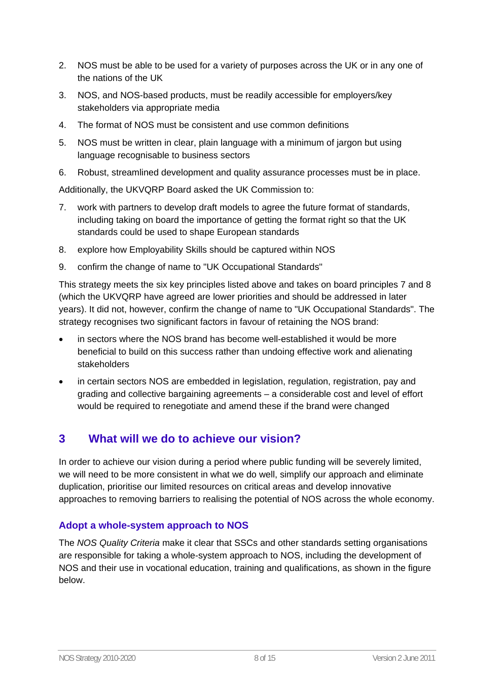- 2. NOS must be able to be used for a variety of purposes across the UK or in any one of the nations of the UK
- 3. NOS, and NOS-based products, must be readily accessible for employers/key stakeholders via appropriate media
- 4. The format of NOS must be consistent and use common definitions
- 5. NOS must be written in clear, plain language with a minimum of jargon but using language recognisable to business sectors
- 6. Robust, streamlined development and quality assurance processes must be in place.

Additionally, the UKVQRP Board asked the UK Commission to:

- 7. work with partners to develop draft models to agree the future format of standards, including taking on board the importance of getting the format right so that the UK standards could be used to shape European standards
- 8. explore how Employability Skills should be captured within NOS
- 9. confirm the change of name to "UK Occupational Standards"

This strategy meets the six key principles listed above and takes on board principles 7 and 8 (which the UKVQRP have agreed are lower priorities and should be addressed in later years). It did not, however, confirm the change of name to "UK Occupational Standards". The strategy recognises two significant factors in favour of retaining the NOS brand:

- in sectors where the NOS brand has become well-established it would be more beneficial to build on this success rather than undoing effective work and alienating stakeholders
- in certain sectors NOS are embedded in legislation, regulation, registration, pay and grading and collective bargaining agreements – a considerable cost and level of effort would be required to renegotiate and amend these if the brand were changed

# **3 What will we do to achieve our vision?**

In order to achieve our vision during a period where public funding will be severely limited, we will need to be more consistent in what we do well, simplify our approach and eliminate duplication, prioritise our limited resources on critical areas and develop innovative approaches to removing barriers to realising the potential of NOS across the whole economy.

#### **Adopt a whole-system approach to NOS**

The *NOS Quality Criteria* make it clear that SSCs and other standards setting organisations are responsible for taking a whole-system approach to NOS, including the development of NOS and their use in vocational education, training and qualifications, as shown in the figure below.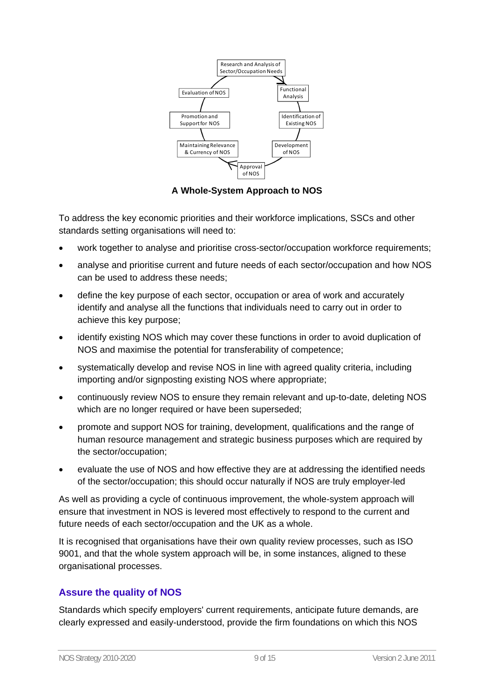

**A Whole-System Approach to NOS** 

To address the key economic priorities and their workforce implications, SSCs and other standards setting organisations will need to:

- work together to analyse and prioritise cross-sector/occupation workforce requirements;
- analyse and prioritise current and future needs of each sector/occupation and how NOS can be used to address these needs;
- define the key purpose of each sector, occupation or area of work and accurately identify and analyse all the functions that individuals need to carry out in order to achieve this key purpose;
- identify existing NOS which may cover these functions in order to avoid duplication of NOS and maximise the potential for transferability of competence;
- systematically develop and revise NOS in line with agreed quality criteria, including importing and/or signposting existing NOS where appropriate;
- continuously review NOS to ensure they remain relevant and up-to-date, deleting NOS which are no longer required or have been superseded;
- promote and support NOS for training, development, qualifications and the range of human resource management and strategic business purposes which are required by the sector/occupation;
- evaluate the use of NOS and how effective they are at addressing the identified needs of the sector/occupation; this should occur naturally if NOS are truly employer-led

As well as providing a cycle of continuous improvement, the whole-system approach will ensure that investment in NOS is levered most effectively to respond to the current and future needs of each sector/occupation and the UK as a whole.

It is recognised that organisations have their own quality review processes, such as ISO 9001, and that the whole system approach will be, in some instances, aligned to these organisational processes.

## **Assure the quality of NOS**

Standards which specify employers' current requirements, anticipate future demands, are clearly expressed and easily-understood, provide the firm foundations on which this NOS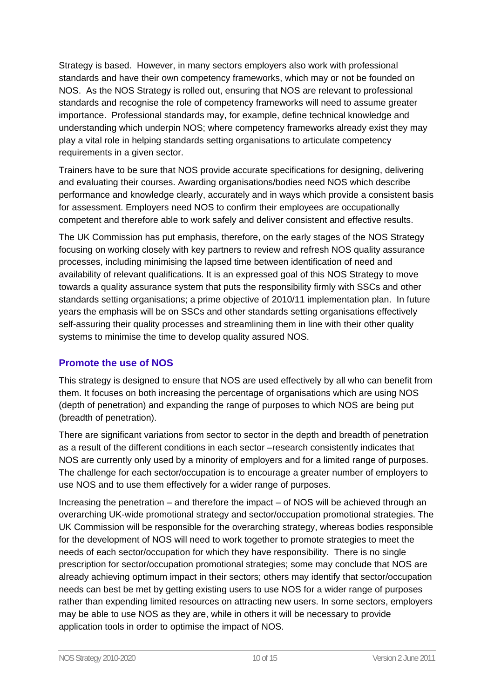Strategy is based. However, in many sectors employers also work with professional standards and have their own competency frameworks, which may or not be founded on NOS. As the NOS Strategy is rolled out, ensuring that NOS are relevant to professional standards and recognise the role of competency frameworks will need to assume greater importance. Professional standards may, for example, define technical knowledge and understanding which underpin NOS; where competency frameworks already exist they may play a vital role in helping standards setting organisations to articulate competency requirements in a given sector.

Trainers have to be sure that NOS provide accurate specifications for designing, delivering and evaluating their courses. Awarding organisations/bodies need NOS which describe performance and knowledge clearly, accurately and in ways which provide a consistent basis for assessment. Employers need NOS to confirm their employees are occupationally competent and therefore able to work safely and deliver consistent and effective results.

The UK Commission has put emphasis, therefore, on the early stages of the NOS Strategy focusing on working closely with key partners to review and refresh NOS quality assurance processes, including minimising the lapsed time between identification of need and availability of relevant qualifications. It is an expressed goal of this NOS Strategy to move towards a quality assurance system that puts the responsibility firmly with SSCs and other standards setting organisations; a prime objective of 2010/11 implementation plan. In future years the emphasis will be on SSCs and other standards setting organisations effectively self-assuring their quality processes and streamlining them in line with their other quality systems to minimise the time to develop quality assured NOS.

#### **Promote the use of NOS**

This strategy is designed to ensure that NOS are used effectively by all who can benefit from them. It focuses on both increasing the percentage of organisations which are using NOS (depth of penetration) and expanding the range of purposes to which NOS are being put (breadth of penetration).

There are significant variations from sector to sector in the depth and breadth of penetration as a result of the different conditions in each sector –research consistently indicates that NOS are currently only used by a minority of employers and for a limited range of purposes. The challenge for each sector/occupation is to encourage a greater number of employers to use NOS and to use them effectively for a wider range of purposes.

Increasing the penetration – and therefore the impact – of NOS will be achieved through an overarching UK-wide promotional strategy and sector/occupation promotional strategies. The UK Commission will be responsible for the overarching strategy, whereas bodies responsible for the development of NOS will need to work together to promote strategies to meet the needs of each sector/occupation for which they have responsibility. There is no single prescription for sector/occupation promotional strategies; some may conclude that NOS are already achieving optimum impact in their sectors; others may identify that sector/occupation needs can best be met by getting existing users to use NOS for a wider range of purposes rather than expending limited resources on attracting new users. In some sectors, employers may be able to use NOS as they are, while in others it will be necessary to provide application tools in order to optimise the impact of NOS.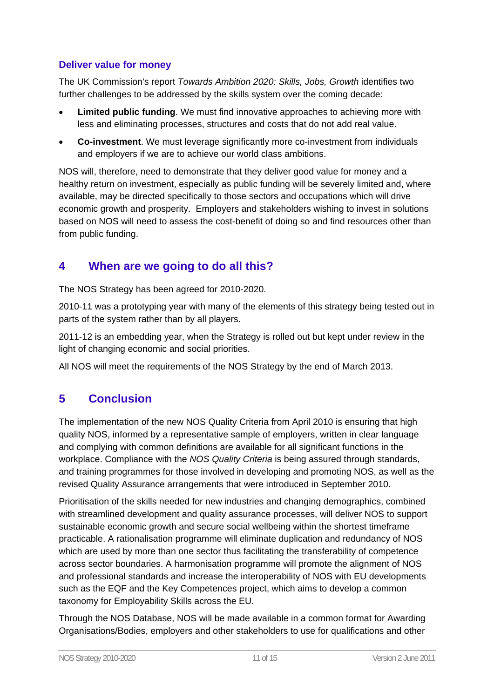## **Deliver value for money**

The UK Commission's report *Towards Ambition 2020: Skills, Jobs, Growth* identifies two further challenges to be addressed by the skills system over the coming decade:

- **Limited public funding**. We must find innovative approaches to achieving more with less and eliminating processes, structures and costs that do not add real value.
- **Co-investment**. We must leverage significantly more co-investment from individuals and employers if we are to achieve our world class ambitions.

NOS will, therefore, need to demonstrate that they deliver good value for money and a healthy return on investment, especially as public funding will be severely limited and, where available, may be directed specifically to those sectors and occupations which will drive economic growth and prosperity. Employers and stakeholders wishing to invest in solutions based on NOS will need to assess the cost-benefit of doing so and find resources other than from public funding.

# **4 When are we going to do all this?**

The NOS Strategy has been agreed for 2010-2020.

2010-11 was a prototyping year with many of the elements of this strategy being tested out in parts of the system rather than by all players.

2011-12 is an embedding year, when the Strategy is rolled out but kept under review in the light of changing economic and social priorities.

All NOS will meet the requirements of the NOS Strategy by the end of March 2013.

# **5 Conclusion**

The implementation of the new NOS Quality Criteria from April 2010 is ensuring that high quality NOS, informed by a representative sample of employers, written in clear language and complying with common definitions are available for all significant functions in the workplace. Compliance with the *NOS Quality Criteria* is being assured through standards, and training programmes for those involved in developing and promoting NOS, as well as the revised Quality Assurance arrangements that were introduced in September 2010.

Prioritisation of the skills needed for new industries and changing demographics, combined with streamlined development and quality assurance processes, will deliver NOS to support sustainable economic growth and secure social wellbeing within the shortest timeframe practicable. A rationalisation programme will eliminate duplication and redundancy of NOS which are used by more than one sector thus facilitating the transferability of competence across sector boundaries. A harmonisation programme will promote the alignment of NOS and professional standards and increase the interoperability of NOS with EU developments such as the EQF and the Key Competences project, which aims to develop a common taxonomy for Employability Skills across the EU.

Through the NOS Database, NOS will be made available in a common format for Awarding Organisations/Bodies, employers and other stakeholders to use for qualifications and other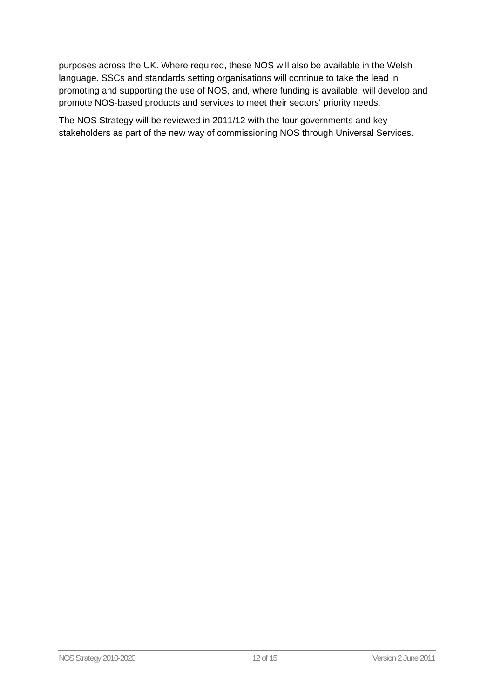purposes across the UK. Where required, these NOS will also be available in the Welsh language. SSCs and standards setting organisations will continue to take the lead in promoting and supporting the use of NOS, and, where funding is available, will develop and promote NOS-based products and services to meet their sectors' priority needs.

The NOS Strategy will be reviewed in 2011/12 with the four governments and key stakeholders as part of the new way of commissioning NOS through Universal Services.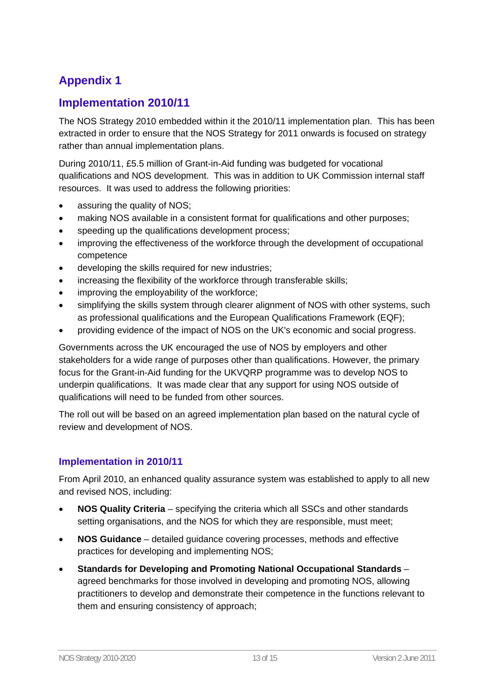# **Appendix 1**

## **Implementation 2010/11**

The NOS Strategy 2010 embedded within it the 2010/11 implementation plan. This has been extracted in order to ensure that the NOS Strategy for 2011 onwards is focused on strategy rather than annual implementation plans.

During 2010/11, £5.5 million of Grant-in-Aid funding was budgeted for vocational qualifications and NOS development. This was in addition to UK Commission internal staff resources. It was used to address the following priorities:

- assuring the quality of NOS;
- making NOS available in a consistent format for qualifications and other purposes;
- speeding up the qualifications development process;
- improving the effectiveness of the workforce through the development of occupational competence
- developing the skills required for new industries;
- increasing the flexibility of the workforce through transferable skills;
- improving the employability of the workforce;
- simplifying the skills system through clearer alignment of NOS with other systems, such as professional qualifications and the European Qualifications Framework (EQF);
- providing evidence of the impact of NOS on the UK's economic and social progress.

Governments across the UK encouraged the use of NOS by employers and other stakeholders for a wide range of purposes other than qualifications. However, the primary focus for the Grant-in-Aid funding for the UKVQRP programme was to develop NOS to underpin qualifications. It was made clear that any support for using NOS outside of qualifications will need to be funded from other sources.

The roll out will be based on an agreed implementation plan based on the natural cycle of review and development of NOS.

#### **Implementation in 2010/11**

From April 2010, an enhanced quality assurance system was established to apply to all new and revised NOS, including:

- **NOS Quality Criteria** specifying the criteria which all SSCs and other standards setting organisations, and the NOS for which they are responsible, must meet;
- **NOS Guidance** detailed guidance covering processes, methods and effective practices for developing and implementing NOS;
- **Standards for Developing and Promoting National Occupational Standards** agreed benchmarks for those involved in developing and promoting NOS, allowing practitioners to develop and demonstrate their competence in the functions relevant to them and ensuring consistency of approach;